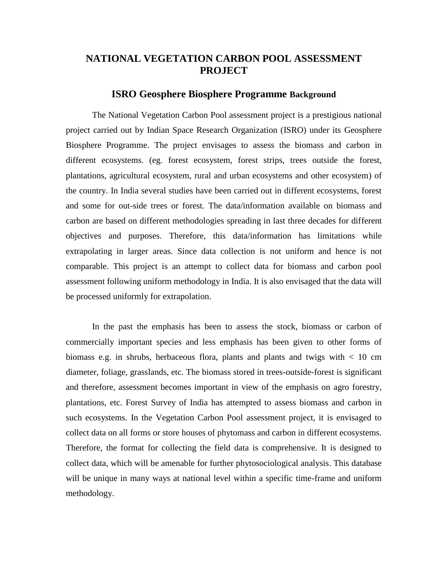# **NATIONAL VEGETATION CARBON POOL ASSESSMENT PROJECT**

#### **ISRO Geosphere Biosphere Programme Background**

The National Vegetation Carbon Pool assessment project is a prestigious national project carried out by Indian Space Research Organization (ISRO) under its Geosphere Biosphere Programme. The project envisages to assess the biomass and carbon in different ecosystems. (eg. forest ecosystem, forest strips, trees outside the forest, plantations, agricultural ecosystem, rural and urban ecosystems and other ecosystem) of the country. In India several studies have been carried out in different ecosystems, forest and some for out-side trees or forest. The data/information available on biomass and carbon are based on different methodologies spreading in last three decades for different objectives and purposes. Therefore, this data/information has limitations while extrapolating in larger areas. Since data collection is not uniform and hence is not comparable. This project is an attempt to collect data for biomass and carbon pool assessment following uniform methodology in India. It is also envisaged that the data will be processed uniformly for extrapolation.

In the past the emphasis has been to assess the stock, biomass or carbon of commercially important species and less emphasis has been given to other forms of biomass e.g. in shrubs, herbaceous flora, plants and plants and twigs with  $\lt 10$  cm diameter, foliage, grasslands, etc. The biomass stored in trees-outside-forest is significant and therefore, assessment becomes important in view of the emphasis on agro forestry, plantations, etc. Forest Survey of India has attempted to assess biomass and carbon in such ecosystems. In the Vegetation Carbon Pool assessment project, it is envisaged to collect data on all forms or store houses of phytomass and carbon in different ecosystems. Therefore, the format for collecting the field data is comprehensive. It is designed to collect data, which will be amenable for further phytosociological analysis. This database will be unique in many ways at national level within a specific time-frame and uniform methodology.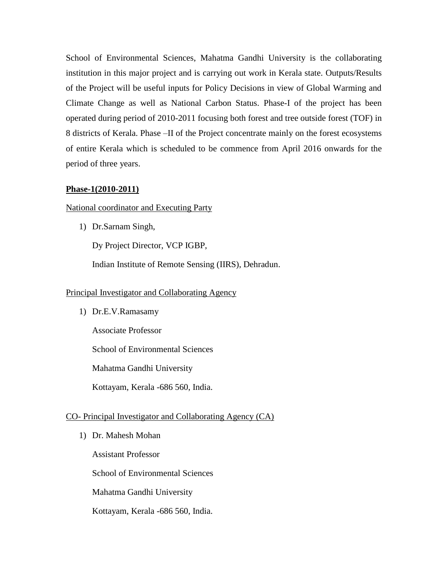School of Environmental Sciences, Mahatma Gandhi University is the collaborating institution in this major project and is carrying out work in Kerala state. Outputs/Results of the Project will be useful inputs for Policy Decisions in view of Global Warming and Climate Change as well as National Carbon Status. Phase-I of the project has been operated during period of 2010-2011 focusing both forest and tree outside forest (TOF) in 8 districts of Kerala. Phase –II of the Project concentrate mainly on the forest ecosystems of entire Kerala which is scheduled to be commence from April 2016 onwards for the period of three years.

### **Phase-1(2010-2011)**

National coordinator and Executing Party

1) Dr.Sarnam Singh,

Dy Project Director, VCP IGBP,

Indian Institute of Remote Sensing (IIRS), Dehradun.

#### Principal Investigator and Collaborating Agency

1) Dr.E.V.Ramasamy

Associate Professor

School of Environmental Sciences

Mahatma Gandhi University

Kottayam, Kerala -686 560, India.

# CO- Principal Investigator and Collaborating Agency (CA)

1) Dr. Mahesh Mohan

Assistant Professor

School of Environmental Sciences

Mahatma Gandhi University

Kottayam, Kerala -686 560, India.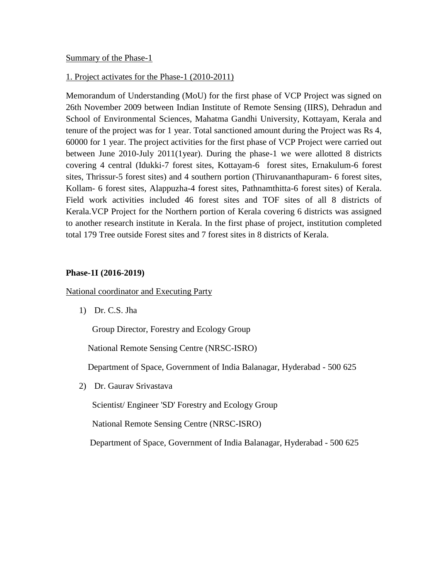# Summary of the Phase-1

### 1. Project activates for the Phase-1 (2010-2011)

Memorandum of Understanding (MoU) for the first phase of VCP Project was signed on 26th November 2009 between Indian Institute of Remote Sensing (IIRS), Dehradun and School of Environmental Sciences, Mahatma Gandhi University, Kottayam, Kerala and tenure of the project was for 1 year. Total sanctioned amount during the Project was Rs 4, 60000 for 1 year. The project activities for the first phase of VCP Project were carried out between June 2010-July 2011(1year). During the phase-1 we were allotted 8 districts covering 4 central (Idukki-7 forest sites, Kottayam-6 forest sites, Ernakulum-6 forest sites, Thrissur-5 forest sites) and 4 southern portion (Thiruvananthapuram- 6 forest sites, Kollam- 6 forest sites, Alappuzha-4 forest sites, Pathnamthitta-6 forest sites) of Kerala. Field work activities included 46 forest sites and TOF sites of all 8 districts of Kerala.VCP Project for the Northern portion of Kerala covering 6 districts was assigned to another research institute in Kerala. In the first phase of project, institution completed total 179 Tree outside Forest sites and 7 forest sites in 8 districts of Kerala.

### **Phase-1I (2016-2019)**

National coordinator and Executing Party

1) Dr. C.S. Jha

Group Director, Forestry and Ecology Group

National Remote Sensing Centre (NRSC-ISRO)

Department of Space, Government of India Balanagar, Hyderabad - 500 625

2) Dr. Gaurav Srivastava

Scientist/ Engineer 'SD' Forestry and Ecology Group

National Remote Sensing Centre (NRSC-ISRO)

Department of Space, Government of India Balanagar, Hyderabad - 500 625